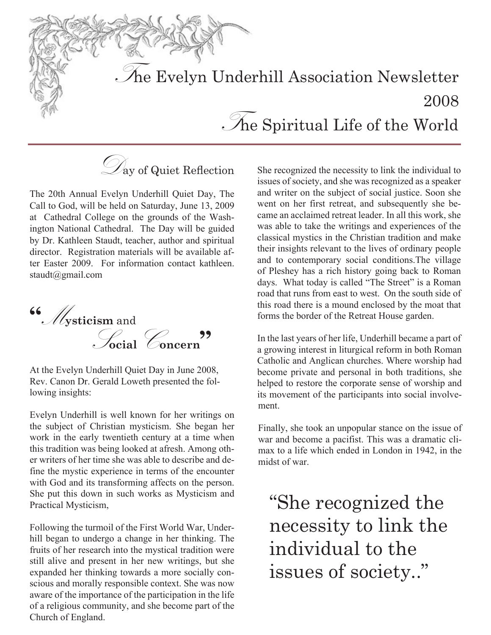The Evelyn Underhill Association Newsletter 2008  $\mathcal{S}_n$  Spiritual Life of the World

 $\mathcal{D}_{\text{ay}}$  of Quiet Reflection

The 20th Annual Evelyn Underhill Quiet Day, The Call to God, will be held on Saturday, June 13, 2009 at Cathedral College on the grounds of the Washington National Cathedral. The Day will be guided by Dr. Kathleen Staudt, teacher, author and spiritual director. Registration materials will be available after Easter 2009. For information contact kathleen. staudt@gmail.com



At the Evelyn Underhill Quiet Day in June 2008, Rev. Canon Dr. Gerald Loweth presented the following insights:

Evelyn Underhill is well known for her writings on the subject of Christian mysticism. She began her work in the early twentieth century at a time when this tradition was being looked at afresh. Among other writers of her time she was able to describe and define the mystic experience in terms of the encounter with God and its transforming affects on the person. She put this down in such works as Mysticism and Practical Mysticism,

Following the turmoil of the First World War, Underhill began to undergo a change in her thinking. The fruits of her research into the mystical tradition were still alive and present in her new writings, but she expanded her thinking towards a more socially conscious and morally responsible context. She was now aware of the importance of the participation in the life of a religious community, and she become part of the Church of England.

She recognized the necessity to link the individual to issues of society, and she was recognized as a speaker and writer on the subject of social justice. Soon she went on her first retreat, and subsequently she became an acclaimed retreat leader. In all this work, she was able to take the writings and experiences of the classical mystics in the Christian tradition and make their insights relevant to the lives of ordinary people and to contemporary social conditions.The village of Pleshey has a rich history going back to Roman days. What today is called "The Street" is a Roman road that runs from east to west. On the south side of this road there is a mound enclosed by the moat that forms the border of the Retreat House garden.

In the last years of her life, Underhill became a part of a growing interest in liturgical reform in both Roman Catholic and Anglican churches. Where worship had become private and personal in both traditions, she helped to restore the corporate sense of worship and its movement of the participants into social involvement.

Finally, she took an unpopular stance on the issue of war and become a pacifist. This was a dramatic climax to a life which ended in London in 1942, in the midst of war.

"She recognized the necessity to link the individual to the issues of society.."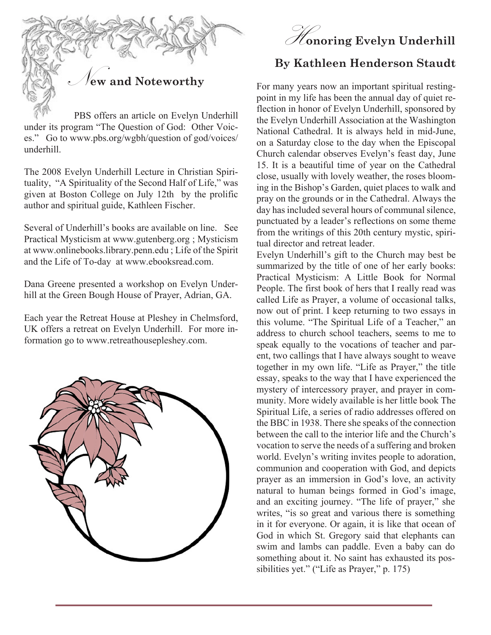

 PBS offers an article on Evelyn Underhill under its program "The Question of God: Other Voices." Go to www.pbs.org/wgbh/question of god/voices/ underhill.

The 2008 Evelyn Underhill Lecture in Christian Spirituality, "A Spirituality of the Second Half of Life," was given at Boston College on July 12th by the prolific author and spiritual guide, Kathleen Fischer.

Several of Underhill's books are available on line. See Practical Mysticism at www.gutenberg.org ; Mysticism at www.onlinebooks.library.penn.edu ; Life of the Spirit and the Life of To-day at www.ebooksread.com.

Dana Greene presented a workshop on Evelyn Underhill at the Green Bough House of Prayer, Adrian, GA.

Each year the Retreat House at Pleshey in Chelmsford, UK offers a retreat on Evelyn Underhill. For more information go to www.retreathousepleshey.com.





## **By Kathleen Henderson Staudt**

For many years now an important spiritual restingpoint in my life has been the annual day of quiet reflection in honor of Evelyn Underhill, sponsored by the Evelyn Underhill Association at the Washington National Cathedral. It is always held in mid-June, on a Saturday close to the day when the Episcopal Church calendar observes Evelyn's feast day, June 15. It is a beautiful time of year on the Cathedral close, usually with lovely weather, the roses blooming in the Bishop's Garden, quiet places to walk and pray on the grounds or in the Cathedral. Always the day has included several hours of communal silence, punctuated by a leader's reflections on some theme from the writings of this 20th century mystic, spiritual director and retreat leader.

Evelyn Underhill's gift to the Church may best be summarized by the title of one of her early books: Practical Mysticism: A Little Book for Normal People. The first book of hers that I really read was called Life as Prayer, a volume of occasional talks, now out of print. I keep returning to two essays in this volume. "The Spiritual Life of a Teacher," an address to church school teachers, seems to me to speak equally to the vocations of teacher and parent, two callings that I have always sought to weave together in my own life. "Life as Prayer," the title essay, speaks to the way that I have experienced the mystery of intercessory prayer, and prayer in community. More widely available is her little book The Spiritual Life, a series of radio addresses offered on the BBC in 1938. There she speaks of the connection between the call to the interior life and the Church's vocation to serve the needs of a suffering and broken world. Evelyn's writing invites people to adoration, communion and cooperation with God, and depicts prayer as an immersion in God's love, an activity natural to human beings formed in God's image, and an exciting journey. "The life of prayer," she writes, "is so great and various there is something in it for everyone. Or again, it is like that ocean of God in which St. Gregory said that elephants can swim and lambs can paddle. Even a baby can do something about it. No saint has exhausted its possibilities yet." ("Life as Prayer," p. 175)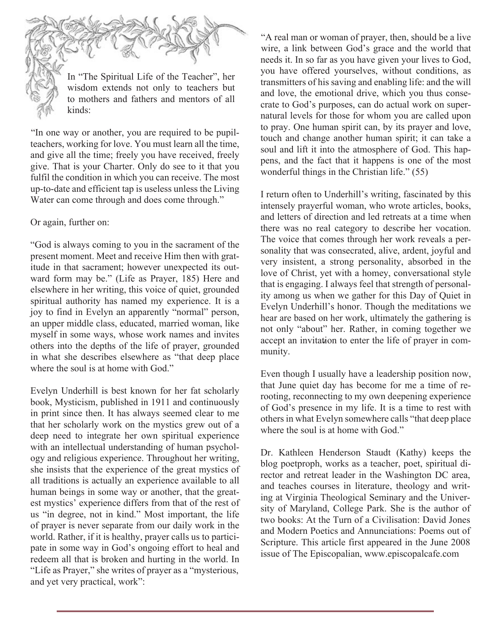In "The Spiritual Life of the Teacher", her wisdom extends not only to teachers but to mothers and fathers and mentors of all kinds:

"In one way or another, you are required to be pupilteachers, working for love. You must learn all the time, and give all the time; freely you have received, freely give. That is your Charter. Only do see to it that you fulfil the condition in which you can receive. The most up-to-date and efficient tap is useless unless the Living Water can come through and does come through."

#### Or again, further on:

"God is always coming to you in the sacrament of the present moment. Meet and receive Him then with gratitude in that sacrament; however unexpected its outward form may be." (Life as Prayer, 185) Here and elsewhere in her writing, this voice of quiet, grounded spiritual authority has named my experience. It is a joy to find in Evelyn an apparently "normal" person, an upper middle class, educated, married woman, like myself in some ways, whose work names and invites others into the depths of the life of prayer, grounded in what she describes elsewhere as "that deep place where the soul is at home with God."

Evelyn Underhill is best known for her fat scholarly book, Mysticism, published in 1911 and continuously in print since then. It has always seemed clear to me that her scholarly work on the mystics grew out of a deep need to integrate her own spiritual experience with an intellectual understanding of human psychology and religious experience. Throughout her writing, she insists that the experience of the great mystics of all traditions is actually an experience available to all human beings in some way or another, that the greatest mystics' experience differs from that of the rest of us "in degree, not in kind." Most important, the life of prayer is never separate from our daily work in the world. Rather, if it is healthy, prayer calls us to participate in some way in God's ongoing effort to heal and redeem all that is broken and hurting in the world. In "Life as Prayer," she writes of prayer as a "mysterious, and yet very practical, work":

"A real man or woman of prayer, then, should be a live wire, a link between God's grace and the world that needs it. In so far as you have given your lives to God, you have offered yourselves, without conditions, as transmitters of his saving and enabling life: and the will and love, the emotional drive, which you thus consecrate to God's purposes, can do actual work on supernatural levels for those for whom you are called upon to pray. One human spirit can, by its prayer and love, touch and change another human spirit; it can take a soul and lift it into the atmosphere of God. This happens, and the fact that it happens is one of the most wonderful things in the Christian life." (55)

I return often to Underhill's writing, fascinated by this intensely prayerful woman, who wrote articles, books, and letters of direction and led retreats at a time when there was no real category to describe her vocation. The voice that comes through her work reveals a personality that was consecrated, alive, ardent, joyful and very insistent, a strong personality, absorbed in the love of Christ, yet with a homey, conversational style that is engaging. I always feel that strength of personality among us when we gather for this Day of Quiet in Evelyn Underhill's honor. Though the meditations we hear are based on her work, ultimately the gathering is not only "about" her. Rather, in coming together we accept an invitation to enter the life of prayer in community.

Even though I usually have a leadership position now, that June quiet day has become for me a time of rerooting, reconnecting to my own deepening experience of God's presence in my life. It is a time to rest with others in what Evelyn somewhere calls "that deep place where the soul is at home with God."

Dr. Kathleen Henderson Staudt (Kathy) keeps the blog poetproph, works as a teacher, poet, spiritual director and retreat leader in the Washington DC area, and teaches courses in literature, theology and writing at Virginia Theological Seminary and the University of Maryland, College Park. She is the author of two books: At the Turn of a Civilisation: David Jones and Modern Poetics and Annunciations: Poems out of Scripture. This article first appeared in the June 2008 issue of The Episcopalian, www.episcopalcafe.com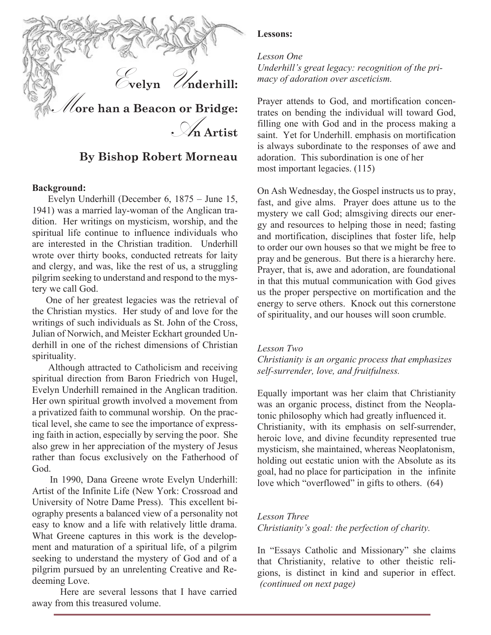

### **By Bishop Robert Morneau**

#### **Background:**

 Evelyn Underhill (December 6, 1875 – June 15, 1941) was a married lay-woman of the Anglican tradition. Her writings on mysticism, worship, and the spiritual life continue to influence individuals who are interested in the Christian tradition. Underhill wrote over thirty books, conducted retreats for laity and clergy, and was, like the rest of us, a struggling pilgrim seeking to understand and respond to the mystery we call God.

 One of her greatest legacies was the retrieval of the Christian mystics. Her study of and love for the writings of such individuals as St. John of the Cross, Julian of Norwich, and Meister Eckhart grounded Underhill in one of the richest dimensions of Christian spirituality.

 Although attracted to Catholicism and receiving spiritual direction from Baron Friedrich von Hugel, Evelyn Underhill remained in the Anglican tradition. Her own spiritual growth involved a movement from a privatized faith to communal worship. On the practical level, she came to see the importance of expressing faith in action, especially by serving the poor. She also grew in her appreciation of the mystery of Jesus rather than focus exclusively on the Fatherhood of God.

 In 1990, Dana Greene wrote Evelyn Underhill: Artist of the Infinite Life (New York: Crossroad and University of Notre Dame Press). This excellent biography presents a balanced view of a personality not easy to know and a life with relatively little drama. What Greene captures in this work is the development and maturation of a spiritual life, of a pilgrim seeking to understand the mystery of God and of a pilgrim pursued by an unrelenting Creative and Redeeming Love.

Here are several lessons that I have carried away from this treasured volume.

#### **Lessons:**

#### *Lesson One*

*Underhill's great legacy: recognition of the primacy of adoration over asceticism.*

Prayer attends to God, and mortification concentrates on bending the individual will toward God, filling one with God and in the process making a saint. Yet for Underhill. emphasis on mortification is always subordinate to the responses of awe and adoration. This subordination is one of her most important legacies. (115)

On Ash Wednesday, the Gospel instructs us to pray, fast, and give alms. Prayer does attune us to the mystery we call God; almsgiving directs our energy and resources to helping those in need; fasting and mortification, disciplines that foster life, help to order our own houses so that we might be free to pray and be generous. But there is a hierarchy here. Prayer, that is, awe and adoration, are foundational in that this mutual communication with God gives us the proper perspective on mortification and the energy to serve others. Knock out this cornerstone of spirituality, and our houses will soon crumble.

#### *Lesson Two*

*Christianity is an organic process that emphasizes self-surrender, love, and fruitfulness.*

Equally important was her claim that Christianity was an organic process, distinct from the Neoplatonic philosophy which had greatly influenced it. Christianity, with its emphasis on self-surrender, heroic love, and divine fecundity represented true mysticism, she maintained, whereas Neoplatonism, holding out ecstatic union with the Absolute as its goal, had no place for participation in the infinite love which "overflowed" in gifts to others. (64)

#### *Lesson Three*

*Christianity's goal: the perfection of charity.*

In "Essays Catholic and Missionary" she claims that Christianity, relative to other theistic religions, is distinct in kind and superior in effect. *(continued on next page)*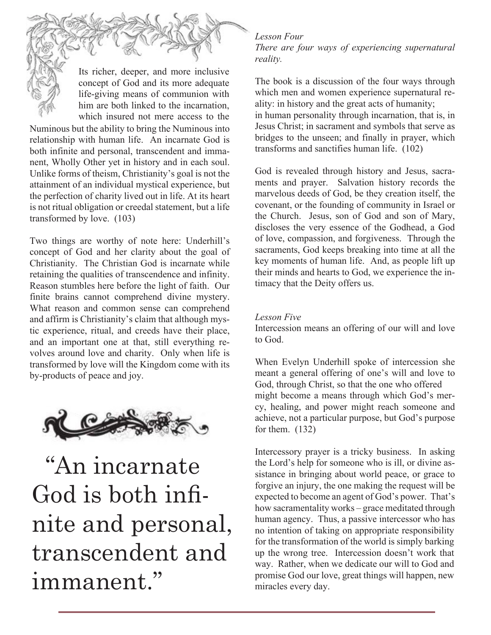Its richer, deeper, and more inclusive concept of God and its more adequate life-giving means of communion with him are both linked to the incarnation, which insured not mere access to the

Numinous but the ability to bring the Numinous into relationship with human life. An incarnate God is both infinite and personal, transcendent and immanent, Wholly Other yet in history and in each soul. Unlike forms of theism, Christianity's goal is not the attainment of an individual mystical experience, but the perfection of charity lived out in life. At its heart is not ritual obligation or creedal statement, but a life transformed by love. (103)

Two things are worthy of note here: Underhill's concept of God and her clarity about the goal of Christianity. The Christian God is incarnate while retaining the qualities of transcendence and infinity. Reason stumbles here before the light of faith. Our finite brains cannot comprehend divine mystery. What reason and common sense can comprehend and affirm is Christianity's claim that although mystic experience, ritual, and creeds have their place, and an important one at that, still everything revolves around love and charity. Only when life is transformed by love will the Kingdom come with its by-products of peace and joy.



 "An incarnate God is both infnite and personal, transcendent and immanent."

#### *Lesson Four*

*There are four ways of experiencing supernatural reality.*

The book is a discussion of the four ways through which men and women experience supernatural reality: in history and the great acts of humanity; in human personality through incarnation, that is, in Jesus Christ; in sacrament and symbols that serve as bridges to the unseen; and finally in prayer, which transforms and sanctifies human life. (102)

God is revealed through history and Jesus, sacraments and prayer. Salvation history records the marvelous deeds of God, be they creation itself, the covenant, or the founding of community in Israel or the Church. Jesus, son of God and son of Mary, discloses the very essence of the Godhead, a God of love, compassion, and forgiveness. Through the sacraments, God keeps breaking into time at all the key moments of human life. And, as people lift up their minds and hearts to God, we experience the intimacy that the Deity offers us.

#### *Lesson Five*

Intercession means an offering of our will and love to God.

When Evelyn Underhill spoke of intercession she meant a general offering of one's will and love to God, through Christ, so that the one who offered might become a means through which God's mercy, healing, and power might reach someone and achieve, not a particular purpose, but God's purpose for them.  $(132)$ 

Intercessory prayer is a tricky business. In asking the Lord's help for someone who is ill, or divine assistance in bringing about world peace, or grace to forgive an injury, the one making the request will be expected to become an agent of God's power. That's how sacramentality works – grace meditated through human agency. Thus, a passive intercessor who has no intention of taking on appropriate responsibility for the transformation of the world is simply barking up the wrong tree. Intercession doesn't work that way. Rather, when we dedicate our will to God and promise God our love, great things will happen, new miracles every day.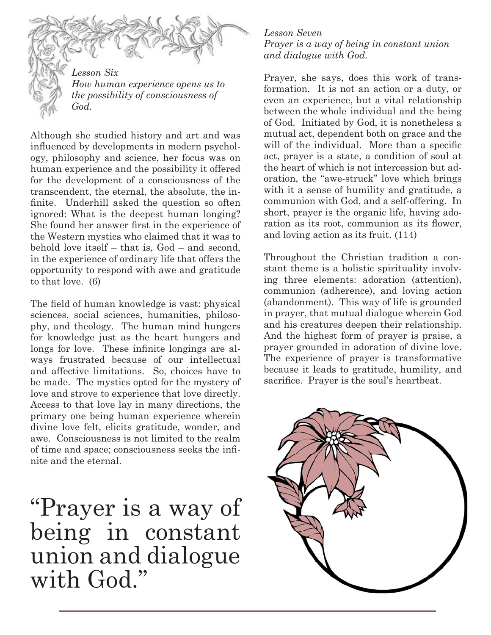

*Lesson Six How human experience opens us to the possibility of consciousness of God.*

Although she studied history and art and was infuenced by developments in modern psychology, philosophy and science, her focus was on human experience and the possibility it offered for the development of a consciousness of the transcendent, the eternal, the absolute, the infnite. Underhill asked the question so often ignored: What is the deepest human longing? She found her answer frst in the experience of the Western mystics who claimed that it was to behold love itself – that is, God – and second, in the experience of ordinary life that offers the opportunity to respond with awe and gratitude to that love. (6)

The feld of human knowledge is vast: physical sciences, social sciences, humanities, philosophy, and theology. The human mind hungers for knowledge just as the heart hungers and longs for love. These infnite longings are always frustrated because of our intellectual and affective limitations. So, choices have to be made. The mystics opted for the mystery of love and strove to experience that love directly. Access to that love lay in many directions, the primary one being human experience wherein divine love felt, elicits gratitude, wonder, and awe. Consciousness is not limited to the realm of time and space; consciousness seeks the infnite and the eternal.

"Prayer is a way of being in constant union and dialogue with God."

*Lesson Seven Prayer is a way of being in constant union and dialogue with God.*

Prayer, she says, does this work of transformation. It is not an action or a duty, or even an experience, but a vital relationship between the whole individual and the being of God. Initiated by God, it is nonetheless a mutual act, dependent both on grace and the will of the individual. More than a specific act, prayer is a state, a condition of soul at the heart of which is not intercession but adoration, the "awe-struck" love which brings with it a sense of humility and gratitude, a communion with God, and a self-offering. In short, prayer is the organic life, having adoration as its root, communion as its fower, and loving action as its fruit. (114)

Throughout the Christian tradition a constant theme is a holistic spirituality involving three elements: adoration (attention), communion (adherence), and loving action (abandonment). This way of life is grounded in prayer, that mutual dialogue wherein God and his creatures deepen their relationship. And the highest form of prayer is praise, a prayer grounded in adoration of divine love. The experience of prayer is transformative because it leads to gratitude, humility, and sacrifce. Prayer is the soul's heartbeat.

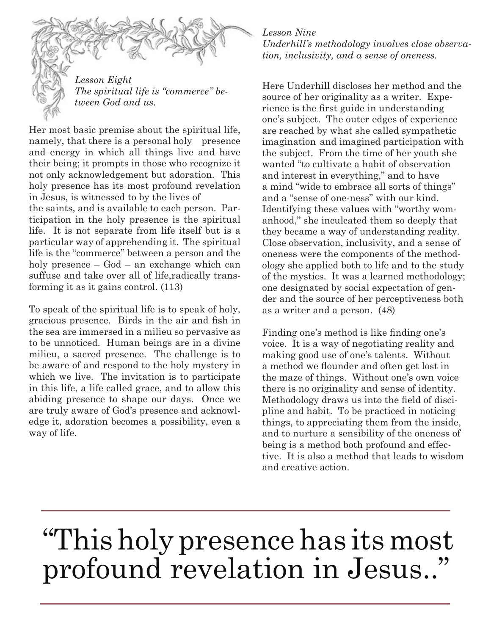

*Lesson Eight The spiritual life is "commerce" between God and us.*

Her most basic premise about the spiritual life, namely, that there is a personal holy presence and energy in which all things live and have their being; it prompts in those who recognize it not only acknowledgement but adoration. This holy presence has its most profound revelation in Jesus, is witnessed to by the lives of

the saints, and is available to each person. Participation in the holy presence is the spiritual life. It is not separate from life itself but is a particular way of apprehending it. The spiritual life is the "commerce" between a person and the holy presence – God – an exchange which can suffuse and take over all of life,radically transforming it as it gains control. (113)

To speak of the spiritual life is to speak of holy, gracious presence. Birds in the air and fsh in the sea are immersed in a milieu so pervasive as to be unnoticed. Human beings are in a divine milieu, a sacred presence. The challenge is to be aware of and respond to the holy mystery in which we live. The invitation is to participate in this life, a life called grace, and to allow this abiding presence to shape our days. Once we are truly aware of God's presence and acknowledge it, adoration becomes a possibility, even a way of life.

#### *Lesson Nine*

*Underhill's methodology involves close observation, inclusivity, and a sense of oneness.*

Here Underhill discloses her method and the source of her originality as a writer. Experience is the frst guide in understanding one's subject. The outer edges of experience are reached by what she called sympathetic imagination and imagined participation with the subject. From the time of her youth she wanted "to cultivate a habit of observation and interest in everything," and to have a mind "wide to embrace all sorts of things" and a "sense of one-ness" with our kind. Identifying these values with "worthy womanhood," she inculcated them so deeply that they became a way of understanding reality. Close observation, inclusivity, and a sense of oneness were the components of the methodology she applied both to life and to the study of the mystics. It was a learned methodology; one designated by social expectation of gender and the source of her perceptiveness both as a writer and a person. (48)

Finding one's method is like fnding one's voice. It is a way of negotiating reality and making good use of one's talents. Without a method we founder and often get lost in the maze of things. Without one's own voice there is no originality and sense of identity. Methodology draws us into the feld of discipline and habit. To be practiced in noticing things, to appreciating them from the inside, and to nurture a sensibility of the oneness of being is a method both profound and effective. It is also a method that leads to wisdom and creative action.

# "This holy presence has its most profound revelation in Jesus.."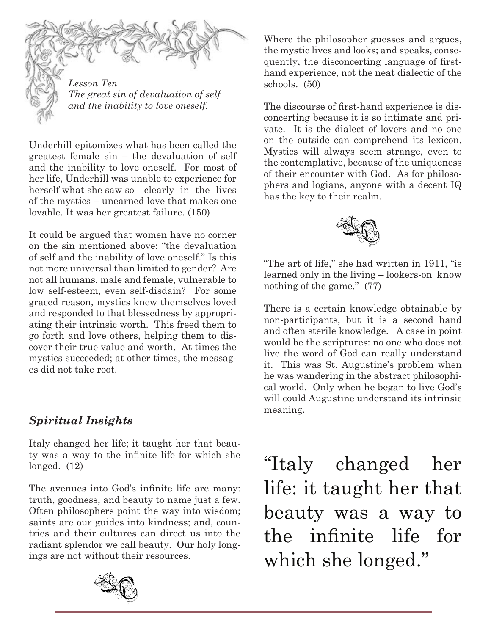

*Lesson Ten The great sin of devaluation of self and the inability to love oneself.*

Underhill epitomizes what has been called the greatest female sin – the devaluation of self and the inability to love oneself. For most of her life, Underhill was unable to experience for herself what she saw so clearly in the lives of the mystics – unearned love that makes one lovable. It was her greatest failure. (150)

It could be argued that women have no corner on the sin mentioned above: "the devaluation of self and the inability of love oneself." Is this not more universal than limited to gender? Are not all humans, male and female, vulnerable to low self-esteem, even self-disdain? For some graced reason, mystics knew themselves loved and responded to that blessedness by appropriating their intrinsic worth. This freed them to go forth and love others, helping them to discover their true value and worth. At times the mystics succeeded; at other times, the messages did not take root.

## *Spiritual Insights*

Italy changed her life; it taught her that beauty was a way to the infnite life for which she longed. (12)

The avenues into God's infnite life are many: truth, goodness, and beauty to name just a few. Often philosophers point the way into wisdom; saints are our guides into kindness; and, countries and their cultures can direct us into the radiant splendor we call beauty. Our holy longings are not without their resources.



Where the philosopher guesses and argues, the mystic lives and looks; and speaks, consequently, the disconcerting language of frsthand experience, not the neat dialectic of the schools. (50)

The discourse of frst-hand experience is disconcerting because it is so intimate and private. It is the dialect of lovers and no one on the outside can comprehend its lexicon. Mystics will always seem strange, even to the contemplative, because of the uniqueness of their encounter with God. As for philosophers and logians, anyone with a decent IQ has the key to their realm.



"The art of life," she had written in 1911, "is learned only in the living – lookers-on know nothing of the game." (77)

There is a certain knowledge obtainable by non-participants, but it is a second hand and often sterile knowledge. A case in point would be the scriptures: no one who does not live the word of God can really understand it. This was St. Augustine's problem when he was wandering in the abstract philosophical world. Only when he began to live God's will could Augustine understand its intrinsic meaning.

"Italy changed her life: it taught her that beauty was a way to the infnite life for which she longed."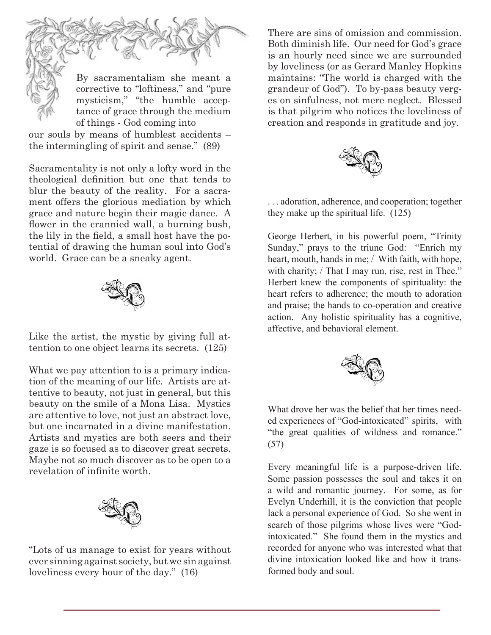

By sacramentalism she meant a corrective to "loftiness," and "pure mysticism," "the humble acceptance of grace through the medium of things - God coming into

our souls by means of humblest accidents – the intermingling of spirit and sense." (89)

Sacramentality is not only a lofty word in the theological defnition but one that tends to blur the beauty of the reality. For a sacrament offers the glorious mediation by which grace and nature begin their magic dance. A flower in the crannied wall, a burning bush, the lily in the feld, a small host have the potential of drawing the human soul into God's world. Grace can be a sneaky agent.



Like the artist, the mystic by giving full attention to one object learns its secrets. (125)

What we pay attention to is a primary indication of the meaning of our life. Artists are attentive to beauty, not just in general, but this beauty on the smile of a Mona Lisa. Mystics are attentive to love, not just an abstract love, but one incarnated in a divine manifestation. Artists and mystics are both seers and their gaze is so focused as to discover great secrets. Maybe not so much discover as to be open to a revelation of infnite worth.



"Lots of us manage to exist for years without ever sinning against society, but we sin against loveliness every hour of the day." (16)

There are sins of omission and commission. Both diminish life. Our need for God's grace is an hourly need since we are surrounded by loveliness (or as Gerard Manley Hopkins maintains: "The world is charged with the grandeur of God"). To by-pass beauty verges on sinfulness, not mere neglect. Blessed is that pilgrim who notices the loveliness of creation and responds in gratitude and joy.



. . . adoration, adherence, and cooperation; together they make up the spiritual life. (125)

George Herbert, in his powerful poem, "Trinity Sunday," prays to the triune God: "Enrich my heart, mouth, hands in me; / With faith, with hope, with charity; / That I may run, rise, rest in Thee." Herbert knew the components of spirituality: the heart refers to adherence; the mouth to adoration and praise; the hands to co-operation and creative action. Any holistic spirituality has a cognitive, affective, and behavioral element.



What drove her was the belief that her times needed experiences of "God-intoxicated" spirits, with "the great qualities of wildness and romance." (57)

Every meaningful life is a purpose-driven life. Some passion possesses the soul and takes it on a wild and romantic journey. For some, as for Evelyn Underhill, it is the conviction that people lack a personal experience of God. So she went in search of those pilgrims whose lives were "Godintoxicated." She found them in the mystics and recorded for anyone who was interested what that divine intoxication looked like and how it transformed body and soul.